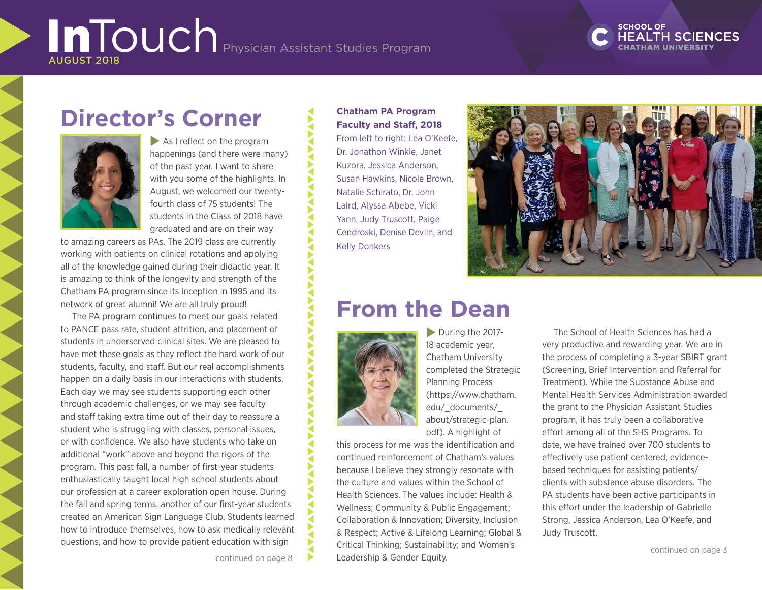# **SCHOOL OF**

# **Director's Corner**



 $\blacktriangleright$  As I reflect on the program happenings (and there were many) of the past year, I want to share with you some of the highlights. In August, we welcomed our twentyfourth class of 75 students! The students in the Class of 2018 have graduated and are on their way

to amazing careers as PAs. The 2019 class are currently working with patients on clinical rotations and applying all of the knowledge gained during their didactic year. It is amazing to think of the longevity and strength of the Chatham PA program since its inception in 1995 and its network of great alumni! We are all truly proud!

The PA program continues to meet our goals related to PANCE pass rate, student attrition, and placement of students in underserved clinical sites. We are pleased to have met these goals as they reflect the hard work of our students, faculty, and staff. But our real accomplishments happen on a daily basis in our interactions with students. Each day we may see students supporting each other through academic challenges, or we may see faculty and staff taking extra time out of their day to reassure a student who is struggling with classes, personal issues, or with confidence. We also have students who take on additional "work" above and beyond the rigors of the program. This past fall, a number of first-year students enthusiastically taught local high school students about our profession at a career exploration open house. During the fall and spring terms, another of our first-year students created an American Sign Language Club. Students learned how to introduce themselves, how to ask medically relevant questions, and how to provide patient education with sign

**Chatham PA Program Faculty and Staff, 2018**

From left to right: Lea O'Keefe, Dr. Jonathon Winkle, Janet Kuzora, Jessica Anderson, Susan Hawkins, Nicole Brown, Natalie Schirato, Dr. John Laird, Alyssa Abebe, Vicki Yann, Judy Truscott, Paige Cendroski, Denise Devlin, and Kelly Donkers



# **From the Dean**



∢

 $\blacktriangleright$  During the 2017-18 academic year, Chatham University completed the Strategic Planning Process (https://www.chatham. edu/\_documents/\_ about/strategic-plan. pdf). A highlight of

this process for me was the identification and continued reinforcement of Chatham's values because I believe they strongly resonate with the culture and values within the School of Health Sciences. The values include: Health & Wellness; Community & Public Engagement; Collaboration & Innovation; Diversity, Inclusion & Respect; Active & Lifelong Learning; Global & Critical Thinking; Sustainability; and Women's Leadership & Gender Equity.

The School of Health Sciences has had a very productive and rewarding year. We are in the process of completing a 3-year SBIRT grant (Screening, Brief Intervention and Referral for Treatment). While the Substance Abuse and Mental Health Services Administration awarded the grant to the Physician Assistant Studies program, it has truly been a collaborative effort among all of the SHS Programs. To date, we have trained over 700 students to effectively use patient centered, evidencebased techniques for assisting patients/ clients with substance abuse disorders. The PA students have been active participants in this effort under the leadership of Gabrielle Strong, Jessica Anderson, Lea O'Keefe, and Judy Truscott.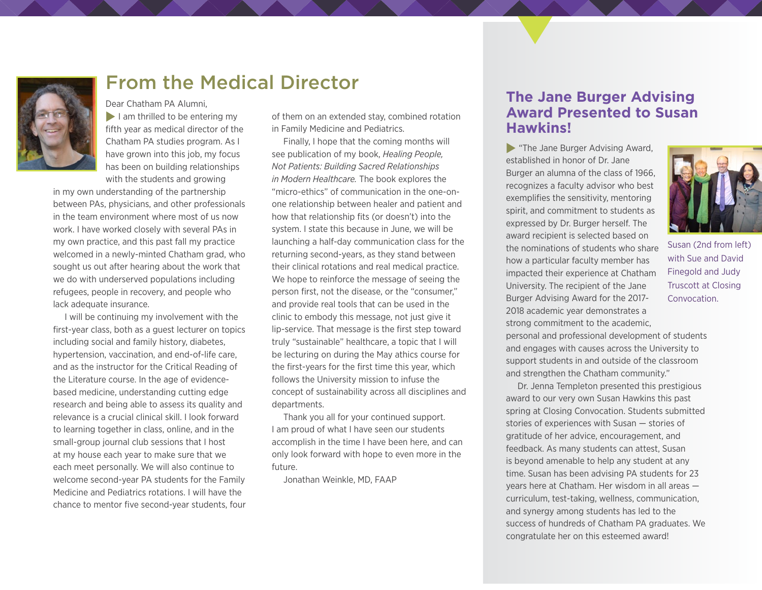

### From the Medical Director

Dear Chatham PA Alumni,  $\blacktriangleright$  I am thrilled to be entering my fifth year as medical director of the Chatham PA studies program. As I have grown into this job, my focus has been on building relationships with the students and growing

in my own understanding of the partnership between PAs, physicians, and other professionals in the team environment where most of us now work. I have worked closely with several PAs in my own practice, and this past fall my practice welcomed in a newly-minted Chatham grad, who sought us out after hearing about the work that we do with underserved populations including refugees, people in recovery, and people who lack adequate insurance.

I will be continuing my involvement with the first-year class, both as a guest lecturer on topics including social and family history, diabetes, hypertension, vaccination, and end-of-life care, and as the instructor for the Critical Reading of the Literature course. In the age of evidencebased medicine, understanding cutting edge research and being able to assess its quality and relevance is a crucial clinical skill. I look forward to learning together in class, online, and in the small-group journal club sessions that I host at my house each year to make sure that we each meet personally. We will also continue to welcome second-year PA students for the Family Medicine and Pediatrics rotations. I will have the chance to mentor five second-year students, four

of them on an extended stay, combined rotation in Family Medicine and Pediatrics.

Finally, I hope that the coming months will see publication of my book, *Healing People, Not Patients: Building Sacred Relationships in Modern Healthcare.* The book explores the "micro-ethics" of communication in the one-onone relationship between healer and patient and how that relationship fits (or doesn't) into the system. I state this because in June, we will be launching a half-day communication class for the returning second-years, as they stand between their clinical rotations and real medical practice. We hope to reinforce the message of seeing the person first, not the disease, or the "consumer," and provide real tools that can be used in the clinic to embody this message, not just give it lip-service. That message is the first step toward truly "sustainable" healthcare, a topic that I will be lecturing on during the May athics course for the first-years for the first time this year, which follows the University mission to infuse the concept of sustainability across all disciplines and departments.

Thank you all for your continued support. I am proud of what I have seen our students accomplish in the time I have been here, and can only look forward with hope to even more in the future.

Jonathan Weinkle, MD, FAAP

#### **The Jane Burger Advising Award Presented to Susan Hawkins!**

 $\blacktriangleright$  "The Jane Burger Advising Award, established in honor of Dr. Jane Burger an alumna of the class of 1966, recognizes a faculty advisor who best exemplifies the sensitivity, mentoring spirit, and commitment to students as expressed by Dr. Burger herself. The award recipient is selected based on the nominations of students who share how a particular faculty member has impacted their experience at Chatham University. The recipient of the Jane Burger Advising Award for the 2017- 2018 academic year demonstrates a strong commitment to the academic,

personal and professional development of students and engages with causes across the University to support students in and outside of the classroom and strengthen the Chatham community."

Dr. Jenna Templeton presented this prestigious award to our very own Susan Hawkins this past spring at Closing Convocation. Students submitted stories of experiences with Susan — stories of gratitude of her advice, encouragement, and feedback. As many students can attest, Susan is beyond amenable to help any student at any time. Susan has been advising PA students for 23 years here at Chatham. Her wisdom in all areas curriculum, test-taking, wellness, communication, and synergy among students has led to the success of hundreds of Chatham PA graduates. We congratulate her on this esteemed award!



with Sue and David Finegold and Judy Truscott at Closing Convocation.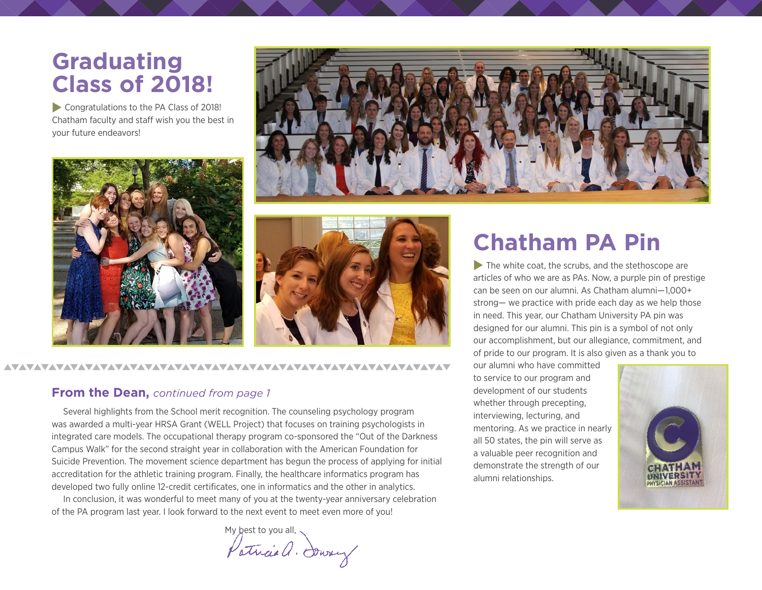# **Graduating Class of 2018!**

Congratulations to the PA Class of 2018! Chatham faculty and staff wish you the best in your future endeavors!







#### 

#### **From the Dean,** *continued from page 1*

Several highlights from the School merit recognition. The counseling psychology program was awarded a multi-year HRSA Grant (WELL Project) that focuses on training psychologists in integrated care models. The occupational therapy program co-sponsored the "Out of the Darkness Campus Walk" for the second straight year in collaboration with the American Foundation for Suicide Prevention. The movement science department has begun the process of applying for initial accreditation for the athletic training program. Finally, the healthcare informatics program has developed two fully online 12-credit certificates, one in informatics and the other in analytics.

In conclusion, it was wonderful to meet many of you at the twenty-year anniversary celebration of the PA program last year. I look forward to the next event to meet even more of you!

Patricia a. Soway

# **Chatham PA Pin**

 $\blacktriangleright$  The white coat, the scrubs, and the stethoscope are articles of who we are as PAs. Now, a purple pin of prestige can be seen on our alumni. As Chatham alumni—1,000+ strong— we practice with pride each day as we help those in need. This year, our Chatham University PA pin was designed for our alumni. This pin is a symbol of not only our accomplishment, but our allegiance, commitment, and of pride to our program. It is also given as a thank you to

our alumni who have committed to service to our program and development of our students whether through precepting, interviewing, lecturing, and mentoring. As we practice in nearly all 50 states, the pin will serve as a valuable peer recognition and demonstrate the strength of our alumni relationships.

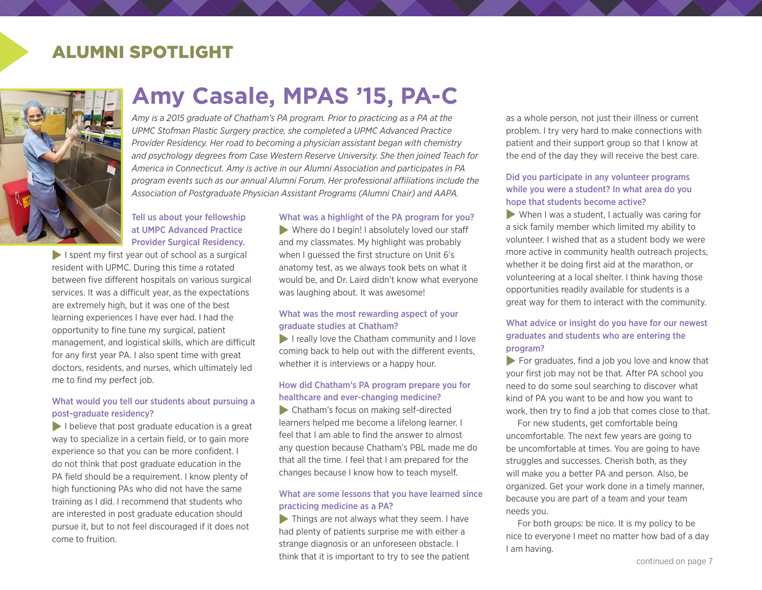## ALUMNI SPOTLIGHT



# **Amy Casale, MPAS '15, PA-C**

*Amy is a 2015 graduate of Chatham's PA program. Prior to practicing as a PA at the UPMC Stofman Plastic Surgery practice, she completed a UPMC Advanced Practice Provider Residency. Her road to becoming a physician assistant began with chemistry and psychology degrees from Case Western Reserve University. She then joined Teach for America in Connecticut. Amy is active in our Alumni Association and participates in PA program events such as our annual Alumni Forum. Her professional affiliations include the Association of Postgraduate Physician Assistant Programs (Alumni Chair) and AAPA.* 

#### Tell us about your fellowship at UMPC Advanced Practice Provider Surgical Residency.

 $\blacktriangleright$  I spent my first year out of school as a surgical resident with UPMC. During this time a rotated between five different hospitals on various surgical services. It was a difficult year, as the expectations are extremely high, but it was one of the best learning experiences I have ever had. I had the opportunity to fine tune my surgical, patient management, and logistical skills, which are difficult for any first year PA. I also spent time with great doctors, residents, and nurses, which ultimately led me to find my perfect job.

#### What would you tell our students about pursuing a post-graduate residency?

 $\blacktriangleright$  I believe that post graduate education is a great way to specialize in a certain field, or to gain more experience so that you can be more confident. I do not think that post graduate education in the PA field should be a requirement. I know plenty of high functioning PAs who did not have the same training as I did. I recommend that students who are interested in post graduate education should pursue it, but to not feel discouraged if it does not come to fruition.

#### What was a highlight of the PA program for you?

 $\blacktriangleright$  Where do I begin! I absolutely loved our staff and my classmates. My highlight was probably when I guessed the first structure on Unit 6's anatomy test, as we always took bets on what it would be, and Dr. Laird didn't know what everyone was laughing about. It was awesome!

#### What was the most rewarding aspect of your graduate studies at Chatham?

 $\blacktriangleright$  I really love the Chatham community and I love coming back to help out with the different events, whether it is interviews or a happy hour.

#### How did Chatham's PA program prepare you for healthcare and ever-changing medicine?

 $\blacktriangleright$  Chatham's focus on making self-directed learners helped me become a lifelong learner. I feel that I am able to find the answer to almost any question because Chatham's PBL made me do that all the time. I feel that I am prepared for the changes because I know how to teach myself.

#### What are some lessons that you have learned since practicing medicine as a PA?

 $\blacktriangleright$  Things are not always what they seem. I have had plenty of patients surprise me with either a strange diagnosis or an unforeseen obstacle. I think that it is important to try to see the patient as a whole person, not just their illness or current problem. I try very hard to make connections with patient and their support group so that I know at the end of the day they will receive the best care.

#### Did you participate in any volunteer programs while you were a student? In what area do you hope that students become active?

 $\blacktriangleright$  When I was a student, I actually was caring for a sick family member which limited my ability to volunteer. I wished that as a student body we were more active in community health outreach projects, whether it be doing first aid at the marathon, or volunteering at a local shelter. I think having those opportunities readily available for students is a great way for them to interact with the community.

#### What advice or insight do you have for our newest graduates and students who are entering the program?

 $\blacktriangleright$  For graduates, find a job you love and know that your first job may not be that. After PA school you need to do some soul searching to discover what kind of PA you want to be and how you want to work, then try to find a job that comes close to that.

For new students, get comfortable being uncomfortable. The next few years are going to be uncomfortable at times. You are going to have struggles and successes. Cherish both, as they will make you a better PA and person. Also, be organized. Get your work done in a timely manner, because you are part of a team and your team needs you.

For both groups: be nice. It is my policy to be nice to everyone I meet no matter how bad of a day I am having.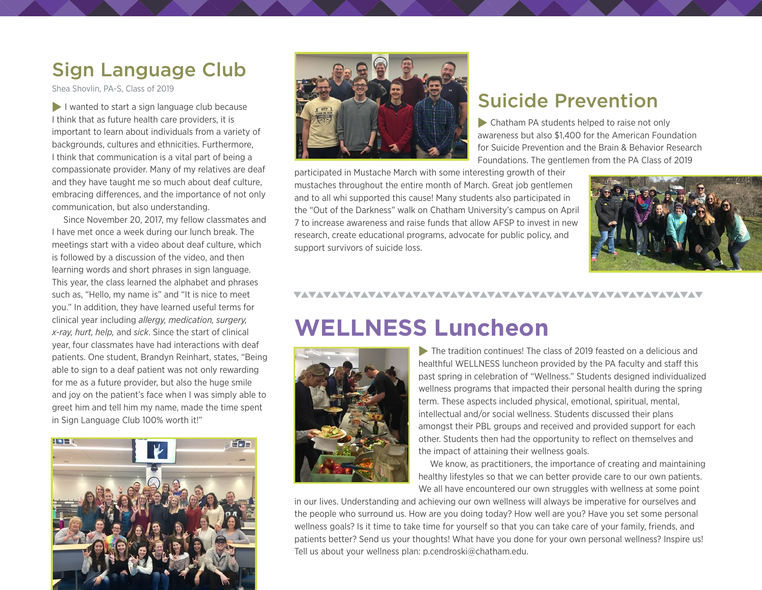# Sign Language Club

Shea Shovlin, PA-S, Class of 2019

 $\blacktriangleright$  I wanted to start a sign language club because I think that as future health care providers, it is important to learn about individuals from a variety of backgrounds, cultures and ethnicities. Furthermore, I think that communication is a vital part of being a compassionate provider. Many of my relatives are deaf and they have taught me so much about deaf culture, embracing differences, and the importance of not only communication, but also understanding.

Since November 20, 2017, my fellow classmates and I have met once a week during our lunch break. The meetings start with a video about deaf culture, which is followed by a discussion of the video, and then learning words and short phrases in sign language. This year, the class learned the alphabet and phrases such as, "Hello, my name is" and "It is nice to meet you." In addition, they have learned useful terms for clinical year including *allergy, medication, surgery, x-ray, hurt, help,* and *sick*. Since the start of clinical year, four classmates have had interactions with deaf patients. One student, Brandyn Reinhart, states, "Being able to sign to a deaf patient was not only rewarding for me as a future provider, but also the huge smile and joy on the patient's face when I was simply able to greet him and tell him my name, made the time spent in Sign Language Club 100% worth it!"





# Suicide Prevention

 $\blacktriangleright$  Chatham PA students helped to raise not only awareness but also \$1,400 for the American Foundation for Suicide Prevention and the Brain & Behavior Research Foundations. The gentlemen from the PA Class of 2019

participated in Mustache March with some interesting growth of their mustaches throughout the entire month of March. Great job gentlemen and to all whi supported this cause! Many students also participated in the "Out of the Darkness" walk on Chatham University's campus on April 7 to increase awareness and raise funds that allow AFSP to invest in new research, create educational programs, advocate for public policy, and support survivors of suicide loss.



#### 

# **WELLNESS Luncheon**



 $\blacktriangleright$  The tradition continues! The class of 2019 feasted on a delicious and healthful WELLNESS luncheon provided by the PA faculty and staff this past spring in celebration of "Wellness." Students designed individualized wellness programs that impacted their personal health during the spring term. These aspects included physical, emotional, spiritual, mental, intellectual and/or social wellness. Students discussed their plans amongst their PBL groups and received and provided support for each other. Students then had the opportunity to reflect on themselves and the impact of attaining their wellness goals.

We know, as practitioners, the importance of creating and maintaining healthy lifestyles so that we can better provide care to our own patients. We all have encountered our own struggles with wellness at some point

in our lives. Understanding and achieving our own wellness will always be imperative for ourselves and the people who surround us. How are you doing today? How well are you? Have you set some personal wellness goals? Is it time to take time for yourself so that you can take care of your family, friends, and patients better? Send us your thoughts! What have you done for your own personal wellness? Inspire us! Tell us about your wellness plan: p.cendroski@chatham.edu.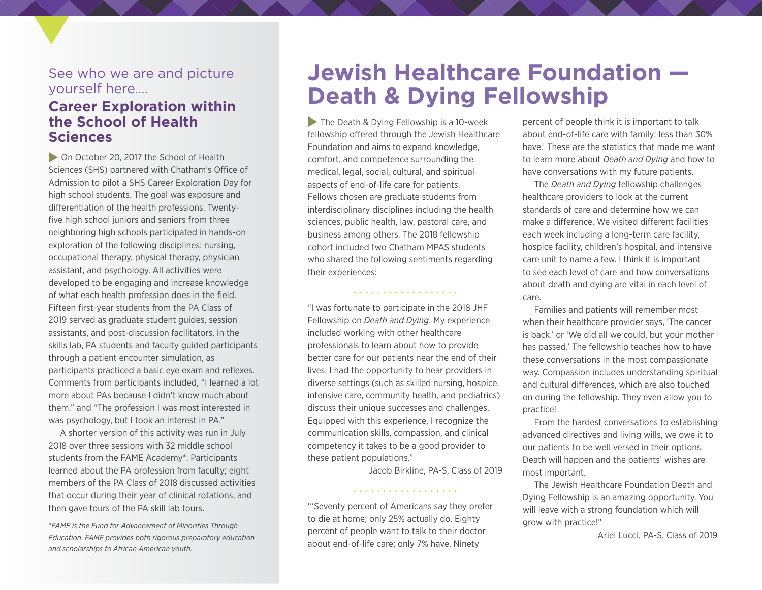#### See who we are and picture yourself here….

### **Career Exploration within the School of Health Sciences**

**Don October 20, 2017 the School of Health** Sciences (SHS) partnered with Chatham's Office of Admission to pilot a SHS Career Exploration Day for high school students. The goal was exposure and differentiation of the health professions. Twentyfive high school juniors and seniors from three neighboring high schools participated in hands-on exploration of the following disciplines: nursing, occupational therapy, physical therapy, physician assistant, and psychology. All activities were developed to be engaging and increase knowledge of what each health profession does in the field. Fifteen first-year students from the PA Class of 2019 served as graduate student guides, session assistants, and post-discussion facilitators. In the skills lab, PA students and faculty guided participants through a patient encounter simulation, as participants practiced a basic eye exam and reflexes. Comments from participants included, "I learned a lot more about PAs because I didn't know much about them." and "The profession I was most interested in was psychology, but I took an interest in PA."

A shorter version of this activity was run in July 2018 over three sessions with 32 middle school students from the [FAME Academy\\*](https://famefund.org/fameacademy/). Participants learned about the PA profession from faculty; eight members of the PA Class of 2018 discussed activities that occur during their year of clinical rotations, and then gave tours of the PA skill lab tours.

*\*FAME is the Fund for Advancement of Minorities Through Education. FAME provides both rigorous preparatory education and scholarships to African American youth.* 

# **Jewish Healthcare Foundation — Death & Dying Fellowship**

 $\blacktriangleright$  The Death & Dying Fellowship is a 10-week fellowship offered through the Jewish Healthcare Foundation and aims to expand knowledge, comfort, and competence surrounding the medical, legal, social, cultural, and spiritual aspects of end-of-life care for patients. Fellows chosen are graduate students from interdisciplinary disciplines including the health sciences, public health, law, pastoral care, and business among others. The 2018 fellowship cohort included two Chatham MPAS students who shared the following sentiments regarding their experiences:

"I was fortunate to participate in the 2018 JHF Fellowship on *Death and Dying*. My experience included working with other healthcare professionals to learn about how to provide better care for our patients near the end of their lives. I had the opportunity to hear providers in diverse settings (such as skilled nursing, hospice, intensive care, community health, and pediatrics) discuss their unique successes and challenges. Equipped with this experience, I recognize the communication skills, compassion, and clinical competency it takes to be a good provider to these patient populations."

Jacob Birkline, PA-S, Class of 2019

"'Seventy percent of Americans say they prefer to die at home; only 25% actually do. Eighty percent of people want to talk to their doctor about end-of-life care; only 7% have. Ninety

. . . . . . . . . . . . . . .

percent of people think it is important to talk about end-of-life care with family; less than 30% have.' These are the statistics that made me want to learn more about *Death and Dying* and how to have conversations with my future patients.

The *Death and Dying* fellowship challenges healthcare providers to look at the current standards of care and determine how we can make a difference. We visited different facilities each week including a long-term care facility, hospice facility, children's hospital, and intensive care unit to name a few. I think it is important to see each level of care and how conversations about death and dying are vital in each level of care.

Families and patients will remember most when their healthcare provider says, 'The cancer is back.' or 'We did all we could, but your mother has passed.' The fellowship teaches how to have these conversations in the most compassionate way. Compassion includes understanding spiritual and cultural differences, which are also touched on during the fellowship. They even allow you to practice!

From the hardest conversations to establishing advanced directives and living wills, we owe it to our patients to be well versed in their options. Death will happen and the patients' wishes are most important.

The Jewish Healthcare Foundation Death and Dying Fellowship is an amazing opportunity. You will leave with a strong foundation which will grow with practice!"

Ariel Lucci, PA-S, Class of 2019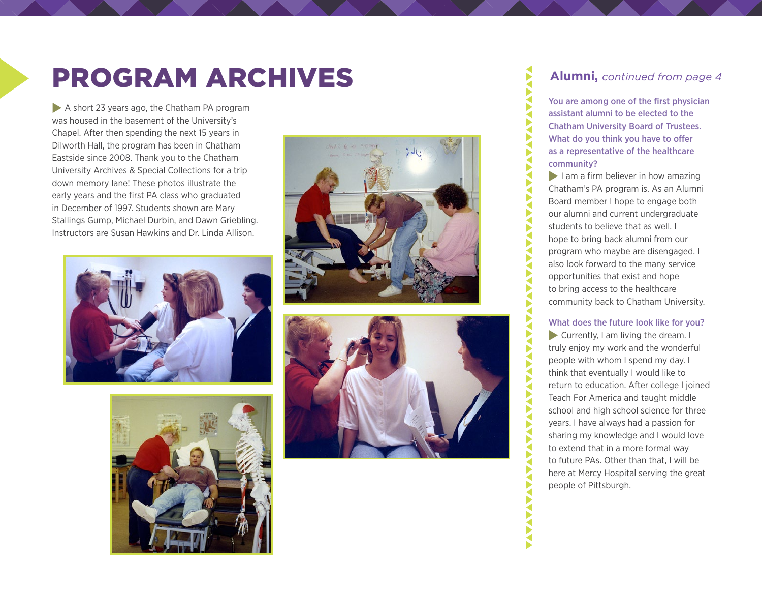# PROGRAM ARCHIVES **Alumni,** *continued from page 4*

A short 23 years ago, the Chatham PA program was housed in the basement of the University's Chapel. After then spending the next 15 years in Dilworth Hall, the program has been in Chatham Eastside since 2008. Thank you to the Chatham University Archives & Special Collections for a trip down memory lane! These photos illustrate the early years and the first PA class who graduated in December of 1997. Students shown are Mary Stallings Gump, Michael Durbin, and Dawn Griebling. Instructors are Susan Hawkins and Dr. Linda Allison.









You are among one of the first physician assistant alumni to be elected to the Chatham University Board of Trustees. What do you think you have to offer as a representative of the healthcare community?

∢

 $\tilde{\mathbf{S}}$ ◀

▶ ◀ Š

 $\tilde{\mathbf{S}}$  $\tilde{\mathbf{S}}$ Š ₹ Б ₹

**ANAVANA** 

Е Б Š **AVA** 

**AVA**  $\tilde{\mathbf{S}}$ ₹ Š

 $\blacktriangleright$  I am a firm believer in how amazing Chatham's PA program is. As an Alumni Board member I hope to engage both our alumni and current undergraduate students to believe that as well. I hope to bring back alumni from our program who maybe are disengaged. I also look forward to the many service opportunities that exist and hope to bring access to the healthcare community back to Chatham University.

#### What does the future look like for you?

 $\blacktriangleright$  Currently, I am living the dream. I truly enjoy my work and the wonderful people with whom I spend my day. I think that eventually I would like to return to education. After college I joined Teach For America and taught middle school and high school science for three years. I have always had a passion for sharing my knowledge and I would love to extend that in a more formal way to future PAs. Other than that, I will be here at Mercy Hospital serving the great people of Pittsburgh.